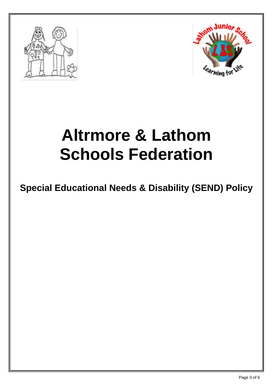



# **Altrmore & Lathom Schools Federation**

# **Special Educational Needs & Disability (SEND) Policy**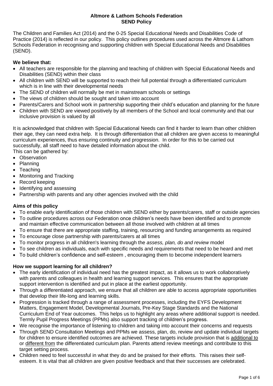# **Altmore & Lathom Schools Federation SEND Policy**

The Children and Families Act (2014) and the 0-25 Special Educational Needs and Disabilities Code of Practice (2014) is reflected in our policy. This policy outlines procedures used across the Altmore & Lathom Schools Federation in recognising and supporting children with Special Educational Needs and Disabilities (SEND).

# **We believe that:**

- All teachers are responsible for the planning and teaching of children with Special Educational Needs and Disabilities (SEND) within their class
- All children with SEND will be supported to reach their full potential through a differentiated curriculum which is in line with their developmental needs
- The SEND of children will normally be met in mainstream schools or settings
- The views of children should be sought and taken into account
- Parents/Carers and School work in partnership supporting their child's education and planning for the future
- Children with SEND are viewed positively by all members of the School and local community and that our inclusive provision is valued by all

It is acknowledged that children with Special Educational Needs can find it harder to learn than other children their age, they can need extra help. It is through differentiation that all children are given access to meaningful curriculum experiences, thus ensuring continuity and progression. In order for this to be carried out successfully, all staff need to have detailed information about the child.

This can be gathered by:

- Observation
- Planning
- Teaching
- Monitoring and Tracking
- Record keeping
- Identifying and assessing
- Partnership with parents and any other agencies involved with the child

# **Aims of this policy**

- To enable early identification of those children with SEND either by parents/carers, staff or outside agencies
- To outline procedures across our Federation once children's needs have been identified and to promote and maintain effective communication between all those involved with children at all times
- To ensure that there are appropriate staffing, training, resourcing and funding arrangements as required
- To encourage close partnership with parents/carers at all times
- To monitor progress in all children's learning through the *assess, plan, do and review* model
- To see children as individuals, each with specific needs and requirements that need to be heard and met
- To build children's confidence and self-esteem , encouraging them to become independent learners

# **How we support learning for all children?**

- The early identification of individual need has the greatest impact, as it allows us to work collaboratively with parents and colleagues in health and learning support services. This ensures that the appropriate support intervention is identified and put in place at the earliest opportunity.
- Through a differentiated approach, we ensure that all children are able to access appropriate opportunities that develop their life-long and learning skills.
- Progression is tracked through a range of assessment processes, including the EYFS Development Matters, Engagement Model, Developmental Journals, Pre-Key Stage Standards and the National Curriculum End of Year outcomes. This helps us to highlight any areas where additional support is needed. Termly Pupil Progress Meetings (PPMs) also support tracking of children's progress.
- We recognise the importance of listening to children and taking into account their concerns and requests
- Through SEND Consultation Meetings and PPMs we assess, plan, do, review and update individual targets for children to ensure identified outcomes are achieved. These targets include provision that is additional to or different from the differentiated curriculum plan. Parents attend review meetings and contribute to this target setting process.
- Children need to feel successful in what they do and be praised for their efforts. This raises their selfesteem. It is vital that all children are given positive feedback and that their successes are celebrated.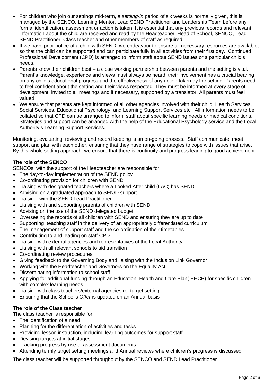- For children who join our settings mid-term, a *settling-in* period of six weeks is normally given, this is managed by the SENCO, Learning Mentor, Lead SEND Practitioner and Leadership Team before any formal identification, assessment or action is taken. It is essential that any previous records and relevant information about the child are received and read by the Headteacher, Head of School, SENCO, Lead SEND Practitioner, Class teacher and other members of staff as required.
- If we have prior notice of a child with SEND, we endeavour to ensure all necessary resources are available, so that the child can be supported and can participate fully in all activities from their first day. Continued Professional Development (CPD) is arranged to inform staff about SEND issues or a particular child's needs.
- Parents know their children best a close working partnership between parents and the setting is vital. Parent's knowledge, experience and views must always be heard, their involvement has a crucial bearing on any child's educational progress and the effectiveness of any action taken by the setting. Parents need to feel confident about the setting and their views respected. They must be informed at every stage of development, invited to all meetings and if necessary, supported by a translator. All parents must feel valued.
- We ensure that parents are kept informed of all other agencies involved with their child: Health Services, Social Services, Educational Psychology, and Learning Support Services etc. All information needs to be collated so that CPD can be arranged to inform staff about specific learning needs or medical conditions. Strategies and support can be arranged with the help of the Educational Psychology service and the Local Authority's Learning Support Services.

Monitoring, evaluating, reviewing and record keeping is an on-going process. Staff communicate, meet, support and plan with each other, ensuring that they have range of strategies to cope with issues that arise. By this whole setting approach, we ensure that there is continuity and progress leading to good achievement.

# **The role of the SENCO**

SENCOs, with the support of the Headteacher are responsible for:

- The day-to-day implementation of the SEND policy
- Co-ordinating provision for children with SEND
- Liaising with designated teachers where a Looked After child (LAC) has SEND
- Advising on a graduated approach to SEN/D support
- Liaising with the SEND Lead Practitioner
- Liaising with and supporting parents of children with SEND
- Advising on the use of the SEND delegated budget
- Overseeing the records of all children with SEND and ensuring they are up to date
- Supporting teaching staff in the delivery of an appropriately differentiated curriculum
- The management of support staff and the co-ordination of their timetables
- Contributing to and leading on staff CPD
- Liaising with external agencies and representatives of the Local Authority
- Liaising with all relevant schools to aid transition
- Co-ordinating review procedures
- Giving feedback to the Governing Body and liaising with the Inclusion Link Governor
- Working with the Headteacher and Governors on the Equality Act
- Disseminating information to school staff
- Applying for additional funding through an Education, Health and Care Plan( EHCP) for specific children with complex learning needs
- Liaising with class teachers/external agencies re. target setting
- Ensuring that the School's *Offer* is updated on an Annual basis

# **The role of the Class teacher**

The class teacher is responsible for:

- The identification of a need
- Planning for the differentiation of activities and tasks
- Providing lesson instruction, including learning outcomes for support staff
- Devising targets at initial stages
- Tracking progress by use of assessment documents
- Attending termly target setting meetings and Annual reviews where children's progress is discussed

The class teacher will be supported throughout by the SENCO and SEND Lead Practitioner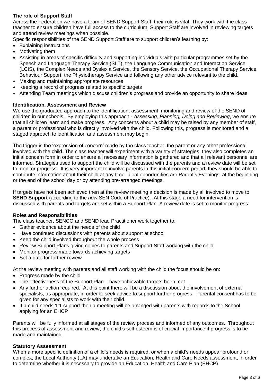# **The role of Support Staff**

Across the Federation we have a team of SEND Support Staff, their role is vital. They work with the class teacher to ensure children have full access to the curriculum. Support Staff are involved in reviewing targets and attend review meetings when possible.

Specific responsibilities of the SEND Support Staff are to support children's learning by:

- Explaining instructions
- Motivating them
- Assisting in areas of specific difficulty and supporting individuals with particular programmes set by the Speech and Language Therapy Service (SLT), the Language Communication and Interaction Service (LCIS), the Complex Needs and Dyslexia Service, the Sensory Service, the Occupational Therapy Service, Behaviour Support, the Physiotherapy Service and following any other advice relevant to the child.
- Making and maintaining appropriate resources
- Keeping a record of progress related to specific targets
- Attending Team meetings which discuss children's progress and provide an opportunity to share ideas

#### **Identification, Assessment and Review**

We use the graduated approach to the identification, assessment, monitoring and review of the SEND of children in our schools. By employing this approach - *Assessing, Planning, Doing and Reviewing*, we ensure that all children learn and make progress. Any concerns about a child may be raised by any member of staff, a parent or professional who is directly involved with the child. Following this, progress is monitored and a staged approach to identification and assessment may begin.

The trigger is the 'expression of concern' made by the class teacher, the parent or any other professional involved with the child. The class teacher will experiment with a variety of strategies, they also completes an initial concern form in order to ensure all necessary information is gathered and that all relevant personnel are informed. Strategies used to support the child will be discussed with the parents and a review date will be set to monitor progress. It is very important to involve parents in this initial concern period; they should be able to contribute information about their child at any time. Ideal opportunities are Parent's Evenings, at the beginning or the end of the school day or by attending pre-arranged meetings.

If targets have not been achieved then at the review meeting a decision is made by all involved to move to **SEND Support** (according to the *new* SEN Code of Practice). At this stage a need for intervention is discussed with parents and targets are set within a Support Plan. A review date is set to monitor progress.

#### **Roles and Responsibilities**

The class teacher, SENCO and SEND lead Practitioner work together to:

- Gather evidence about the needs of the child
- Have continued discussions with parents about support at school
- Keep the child involved throughout the whole process
- Review Support Plans giving copies to parents and Support Staff working with the child
- Monitor progress made towards achieving targets
- Set a date for further review

At the review meeting with parents and all staff working with the child the focus should be on:

- Progress made by the child
- The effectiveness of the Support Plan have achievable targets been met
- Any further action required. At this point there will be a discussion about the involvement of external specialists, as appropriate, in order to seek advice to support further progress. Parental consent has to be given for any specialists to work with their child.
- If a child needs 1:1 support then a meeting will be arranged with parents with regards to the School applying for an EHCP

Parents will be fully informed at all stages of the review process and informed of any outcomes. Throughout this process of assessment and review, the child's self-esteem is of crucial importance if progress is to be made and maintained.

#### **Statutory Assessment**

When a more specific definition of a child's needs is required, or when a child's needs appear profound or complex, the Local Authority (LA) may undertake an Education, Health and Care Needs assessment, in order to determine whether it is necessary to provide an Education, Health and Care Plan (EHCP).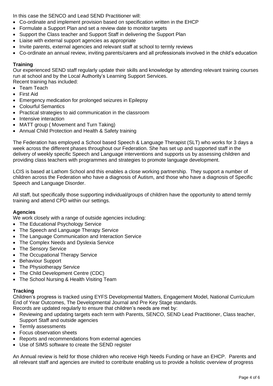In this case the SENCO and Lead SEND Practitioner will:

- Co-ordinate and implement provision based on specification written in the EHCP
- Formulate a Support Plan and set a review date to monitor targets
- Support the Class teacher and Support Staff in delivering the Support Plan
- Liaise with external support agencies as appropriate
- Invite parents, external agencies and relevant staff at school to termly reviews
- Co-ordinate an annual review, inviting parents/carers and all professionals involved in the child's education

#### **Training**

Our experienced SEND staff regularly update their skills and knowledge by attending relevant training courses run at school and by the Local Authority's Learning Support Services. Recent training has included:

- Team Teach
- First Aid
- Emergency medication for prolonged seizures in Epilepsy
- Colourful Semantics
- Practical strategies to aid communication in the classroom
- Intensive interaction
- MATT group (Movement and Turn Taking)
- Annual Child Protection and Health & Safety training

The Federation has employed a School based Speech & Language Therapist (SLT) who works for 3 days a week across the different phases throughout our Federation. She has set up and supported staff in the delivery of weekly specific Speech and Language interventions and supports us by assessing children and providing class teachers with programmes and strategies to promote language development.

LCIS is based at Lathom School and this enables a close working partnership. They support a number of children across the Federation who have a diagnosis of Autism, and those who have a diagnosis of Specific Speech and Language Disorder.

All staff, but specifically those supporting individual/groups of children have the opportunity to attend termly training and attend CPD within our settings.

#### **Agencies**

We work closely with a range of outside agencies including:

- The Educational Psychology Service
- The Speech and Language Therapy Service
- The Language Communication and Interaction Service
- The Complex Needs and Dyslexia Service
- The Sensory Service
- The Occupational Therapy Service
- Behaviour Support
- The Physiotherapy Service
- The Child Development Centre (CDC)
- The School Nursing & Health Visiting Team

#### **Tracking**

Children's progress is tracked using EYFS Developmental Matters, Engagement Model, National Curriculum End of Year Outcomes, The Developmental Journal and Pre Key Stage standards.

Records are updated regularly to ensure that children's needs are met by:

- Reviewing and updating targets each term with Parents, SENCO, SEND Lead Practitioner, Class teacher, Support Staff and outside agencies
- Termly assessments
- Focus observation sheets
- Reports and recommendations from external agencies
- Use of SIMS software to create the SEND register

An Annual review is held for those children who receive High Needs Funding or have an EHCP. Parents and all relevant staff and agencies are invited to contribute enabling us to provide a holistic overview of progress